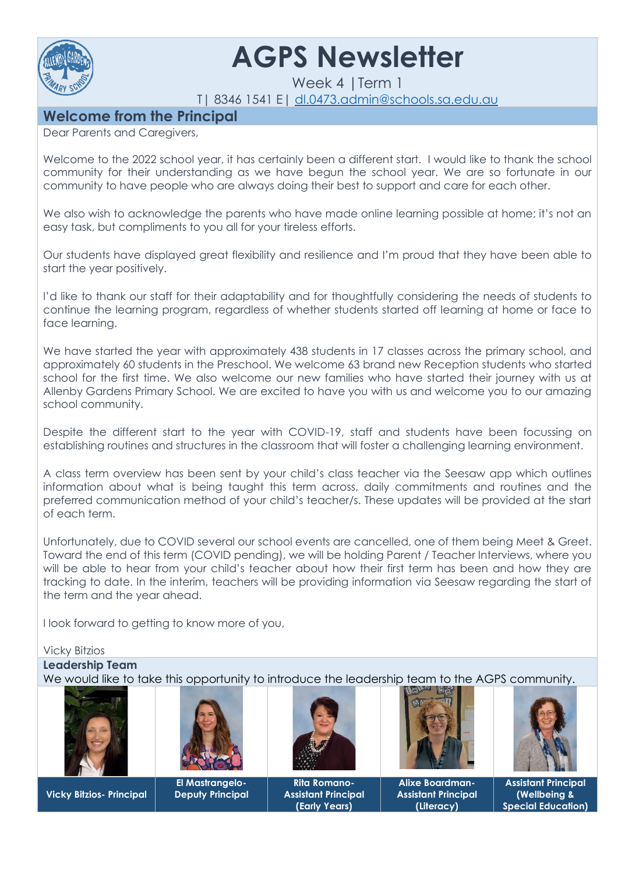

# **AGPS Newsletter**

Week 4 |Term 1

T| 8346 1541 E| [dl.0473.admin@schools.sa.edu.au](mailto:dl.0473.admin@schools.sa.edu.au)

# **Welcome from the Principal**

Dear Parents and Caregivers,

Welcome to the 2022 school year, it has certainly been a different start. I would like to thank the school community for their understanding as we have begun the school year. We are so fortunate in our community to have people who are always doing their best to support and care for each other.

We also wish to acknowledge the parents who have made online learning possible at home; it's not an easy task, but compliments to you all for your tireless efforts.

Our students have displayed great flexibility and resilience and I'm proud that they have been able to start the year positively.

I'd like to thank our staff for their adaptability and for thoughtfully considering the needs of students to continue the learning program, regardless of whether students started off learning at home or face to face learning.

We have started the year with approximately 438 students in 17 classes across the primary school, and approximately 60 students in the Preschool. We welcome 63 brand new Reception students who started school for the first time. We also welcome our new families who have started their journey with us at Allenby Gardens Primary School. We are excited to have you with us and welcome you to our amazing school community.

Despite the different start to the year with COVID-19, staff and students have been focussing on establishing routines and structures in the classroom that will foster a challenging learning environment.

A class term overview has been sent by your child's class teacher via the Seesaw app which outlines information about what is being taught this term across, daily commitments and routines and the preferred communication method of your child's teacher/s. These updates will be provided at the start of each term.

Unfortunately, due to COVID several our school events are cancelled, one of them being Meet & Greet. Toward the end of this term (COVID pending), we will be holding Parent / Teacher Interviews, where you will be able to hear from your child's teacher about how their first term has been and how they are tracking to date. In the interim, teachers will be providing information via Seesaw regarding the start of the term and the year ahead.

I look forward to getting to know more of you,

#### Vicky Bitzios

**Leadership Team** 

We would like to take this opportunity to introduce the leadership team to the AGPS community.





**Vicky Bitzios- Principal**

**El Mastrangelo-Deputy Principal**



**Rita Romano-Assistant Principal (Early Years)**



**Alixe Boardman-Assistant Principal (Literacy)**



**Assistant Principal (Wellbeing & Special Education)**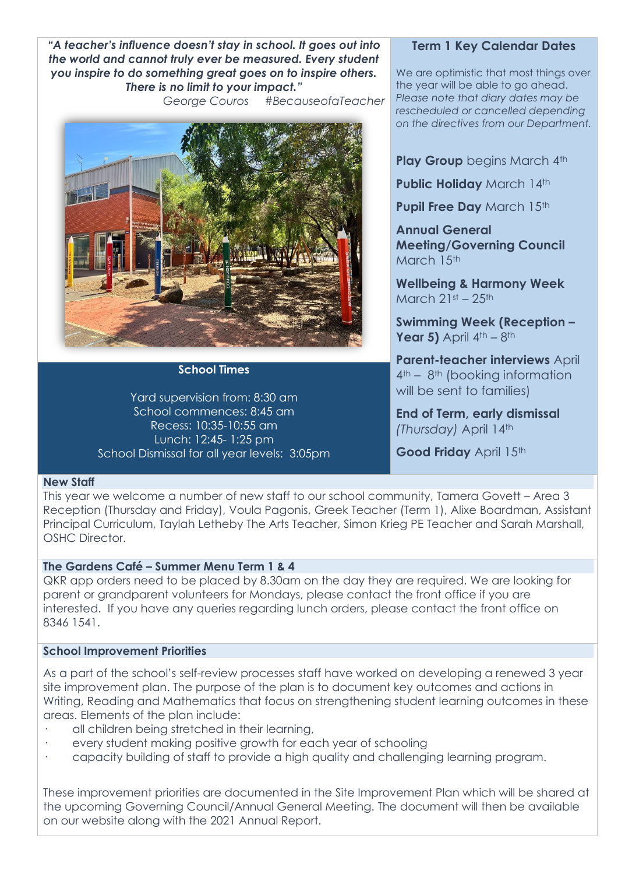*"A teacher's influence doesn't stay in school. It goes out into the world and cannot truly ever be measured. Every student you inspire to do something great goes on to inspire others. There is no limit to your impact."*

*George Couros #BecauseofaTeacher*



**School Times**

Yard supervision from: 8:30 am School commences: 8:45 am Recess: 10:35-10:55 am Lunch: 12:45- 1:25 pm School Dismissal for all year levels: 3:05pm

## **Term 1 Key Calendar Dates**

We are optimistic that most things over the year will be able to go ahead. *Please note that diary dates may be rescheduled or cancelled depending on the directives from our Department.*

**Play Group** begins March 4th

**Public Holiday** March 14th

**Pupil Free Day March 15th** 

**Annual General Meeting/Governing Council** March 15th

**Wellbeing & Harmony Week** March  $21st - 25th$ 

**Swimming Week (Reception – Year 5)** April  $4^{\text{th}} - 8^{\text{th}}$ 

**Parent-teacher interviews** April 4th – 8th (booking information will be sent to families)

**End of Term, early dismissal** *(Thursday)* April 14th

Good Friday April 15th

#### **New Staff**

This year we welcome a number of new staff to our school community, Tamera Govett – Area 3 Reception (Thursday and Friday), Voula Pagonis, Greek Teacher (Term 1), Alixe Boardman, Assistant Principal Curriculum, Taylah Letheby The Arts Teacher, Simon Krieg PE Teacher and Sarah Marshall, OSHC Director.

#### **The Gardens Café – Summer Menu Term 1 & 4**

QKR app orders need to be placed by 8.30am on the day they are required. We are looking for parent or grandparent volunteers for Mondays, please contact the front office if you are interested. If you have any queries regarding lunch orders, please contact the front office on 8346 1541.

# **School Improvement Priorities**

As a part of the school's self-review processes staff have worked on developing a renewed 3 year site improvement plan. The purpose of the plan is to document key outcomes and actions in Writing, Reading and Mathematics that focus on strengthening student learning outcomes in these areas. Elements of the plan include:

- all children being stretched in their learning,
- every student making positive growth for each year of schooling
- · capacity building of staff to provide a high quality and challenging learning program.

These improvement priorities are documented in the Site Improvement Plan which will be shared at the upcoming Governing Council/Annual General Meeting. The document will then be available on our website along with the 2021 Annual Report.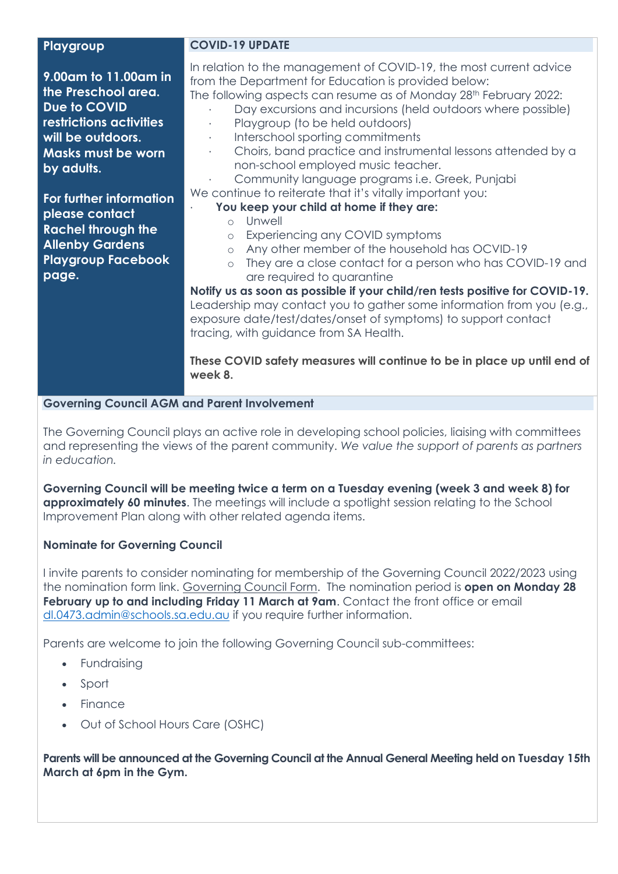#### **Playgroup**

**9.00am to 11.00am in the Preschool area. Due to COVID restrictions activities will be outdoors. Masks must be worn by adults.**

**For further information please contact Rachel through the Allenby Gardens Playgroup Facebook page.**

#### **COVID-19 UPDATE**

In relation to the management of COVID-19, the most current advice from the Department for Education is provided below:

The following aspects can resume as of Monday 28<sup>th</sup> February 2022:

- Day excursions and incursions (held outdoors where possible)
- Playaroup (to be held outdoors)
- · Interschool sporting commitments
	- · Choirs, band practice and instrumental lessons attended by a non-school employed music teacher.
- Community language programs *i.e.* Greek, Punjabi

We continue to reiterate that it's vitally important you:

# · **You keep your child at home if they are:**

- o Unwell
- o Experiencing any COVID symptoms
- o Any other member of the household has OCVID-19
- o They are a close contact for a person who has COVID-19 and are required to quarantine

**Notify us as soon as possible if your child/ren tests positive for COVID-19.** Leadership may contact you to gather some information from you (e.g., exposure date/test/dates/onset of symptoms) to support contact tracing, with guidance from SA Health.

**These COVID safety measures will continue to be in place up until end of week 8.**

## **Governing Council AGM and Parent Involvement**

The Governing Council plays an active role in developing school policies, liaising with committees and representing the views of the parent community. *We value the support of parents as partners in education.*

**Governing Council will be meeting twice a term on a Tuesday evening (week 3 and week 8) for approximately 60 minutes**. The meetings will include a spotlight session relating to the School Improvement Plan along with other related agenda items.

# **Nominate for Governing Council**

I invite parents to consider nominating for membership of the Governing Council 2022/2023 using the nomination form link. [Governing Council Form.](https://forms.office.com/Pages/ResponsePage.aspx?id=6fS7c4gGRkmuqb0LtA7PB9lfOqwI0ZBPiBqSEkRgSyBUNFo3UDVCRlpWVUZYNTMwWTVUU1BQNTJPQS4u) The nomination period is **open on Monday 28 February up to and including Friday 11 March at 9am.** Contact the front office or email [dl.0473.admin@schools.sa.edu.au](mailto:dl.0473.admin@schools.sa.edu.au) if you require further information.

Parents are welcome to join the following Governing Council sub-committees:

- Fundraising
- Sport
- Finance
- Out of School Hours Care (OSHC)

**Parents will be announced at the Governing Council at the Annual General Meeting held on Tuesday 15th March at 6pm in the Gym.**